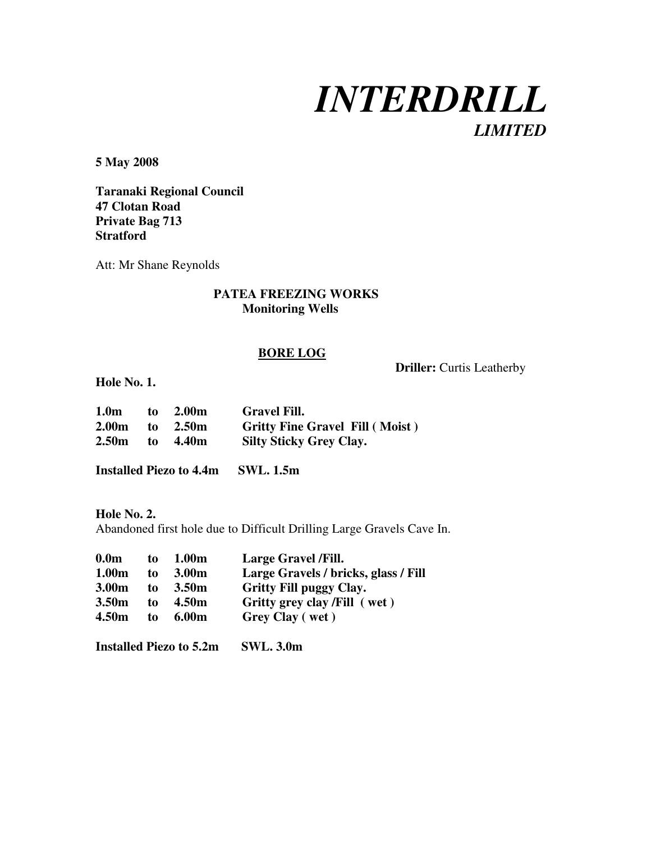

**Driller:** Curtis Leatherby

**5 May 2008** 

**Taranaki Regional Council 47 Clotan Road Private Bag 713 Stratford** 

Att: Mr Shane Reynolds

# **PATEA FREEZING WORKS Monitoring Wells**

#### **BORE LOG**

**Hole No. 1.** 

| 1.0 <sub>m</sub>   | to | 2.00m | <b>Gravel Fill.</b>                    |
|--------------------|----|-------|----------------------------------------|
| $2.00m$ to $2.50m$ |    |       | <b>Gritty Fine Gravel Fill (Moist)</b> |
| 2.50m to 4.40m     |    |       | <b>Silty Sticky Grey Clay.</b>         |

**Installed Piezo to 4.4m SWL. 1.5m** 

**Hole No. 2.**  Abandoned first hole due to Difficult Drilling Large Gravels Cave In.

| 0.0 <sub>m</sub>  | to | 1.00 <sub>m</sub> | Large Gravel / Fill.                 |
|-------------------|----|-------------------|--------------------------------------|
| 1.00 <sub>m</sub> | to | 3.00 <sub>m</sub> | Large Gravels / bricks, glass / Fill |
| 3.00 <sub>m</sub> | to | 3.50 <sub>m</sub> | <b>Gritty Fill puggy Clay.</b>       |
| 3.50 <sub>m</sub> | to | 4.50m             | Gritty grey clay /Fill (wet)         |
| 4.50 <sub>m</sub> | to | 6.00 <sub>m</sub> | Grey Clay (wet)                      |

**Installed Piezo to 5.2m SWL. 3.0m**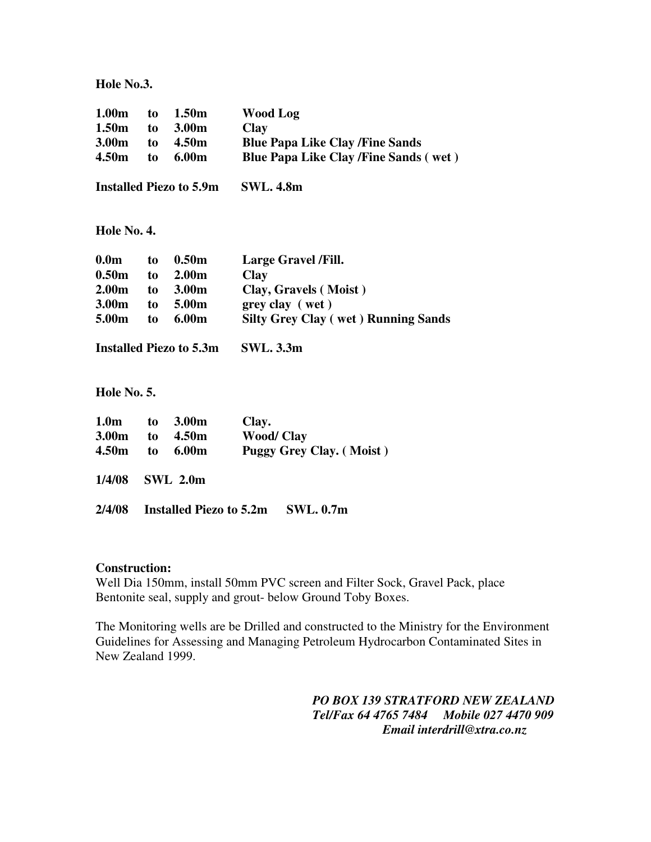**Hole No.3.** 

| 1.00 <sub>m</sub><br>1.50 <sub>m</sub><br>3.00 <sub>m</sub><br>4.50m | to<br>to<br>to<br>to | 1.50 <sub>m</sub><br>3.00m<br>4.50m<br>6.00m | <b>Wood Log</b><br><b>Clay</b><br><b>Blue Papa Like Clay /Fine Sands</b><br><b>Blue Papa Like Clay /Fine Sands (wet)</b> |  |  |  |  |
|----------------------------------------------------------------------|----------------------|----------------------------------------------|--------------------------------------------------------------------------------------------------------------------------|--|--|--|--|
| <b>Installed Piezo to 5.9m</b>                                       |                      |                                              | <b>SWL. 4.8m</b>                                                                                                         |  |  |  |  |
| Hole No. 4.                                                          |                      |                                              |                                                                                                                          |  |  |  |  |
| 0.0 <sub>m</sub>                                                     | to                   | 0.50 <sub>m</sub>                            | Large Gravel /Fill.                                                                                                      |  |  |  |  |
| 0.50 <sub>m</sub>                                                    |                      | to 2.00m                                     | Clay                                                                                                                     |  |  |  |  |
| 2.00 <sub>m</sub>                                                    |                      | to 3.00m                                     | Clay, Gravels (Moist)                                                                                                    |  |  |  |  |
| 3.00 <sub>m</sub>                                                    |                      | to 5.00m                                     | grey clay (wet)                                                                                                          |  |  |  |  |
| 5.00m                                                                | to                   | 6.00m                                        | <b>Silty Grey Clay (wet) Running Sands</b>                                                                               |  |  |  |  |
|                                                                      |                      | <b>Installed Piezo to 5.3m</b>               | <b>SWL. 3.3m</b>                                                                                                         |  |  |  |  |
| Hole No. 5.                                                          |                      |                                              |                                                                                                                          |  |  |  |  |
| 1.0 <sub>m</sub>                                                     | to                   | 3.00m                                        | Clay.                                                                                                                    |  |  |  |  |
| 3.00 <sub>m</sub>                                                    | to                   | 4.50m                                        | <b>Wood/Clay</b>                                                                                                         |  |  |  |  |
| 4.50 <sub>m</sub>                                                    | to                   | 6.00m                                        | <b>Puggy Grey Clay.</b> (Moist)                                                                                          |  |  |  |  |
| 1/4/08                                                               |                      | <b>SWL 2.0m</b>                              |                                                                                                                          |  |  |  |  |
| 2/4/08                                                               |                      | <b>Installed Piezo to 5.2m</b>               | <b>SWL.</b> 0.7m                                                                                                         |  |  |  |  |

#### **Construction:**

Well Dia 150mm, install 50mm PVC screen and Filter Sock, Gravel Pack, place Bentonite seal, supply and grout- below Ground Toby Boxes.

The Monitoring wells are be Drilled and constructed to the Ministry for the Environment Guidelines for Assessing and Managing Petroleum Hydrocarbon Contaminated Sites in New Zealand 1999.

> *PO BOX 139 STRATFORD NEW ZEALAND Tel/Fax 64 4765 7484 Mobile 027 4470 909 Email interdrill@xtra.co.nz*